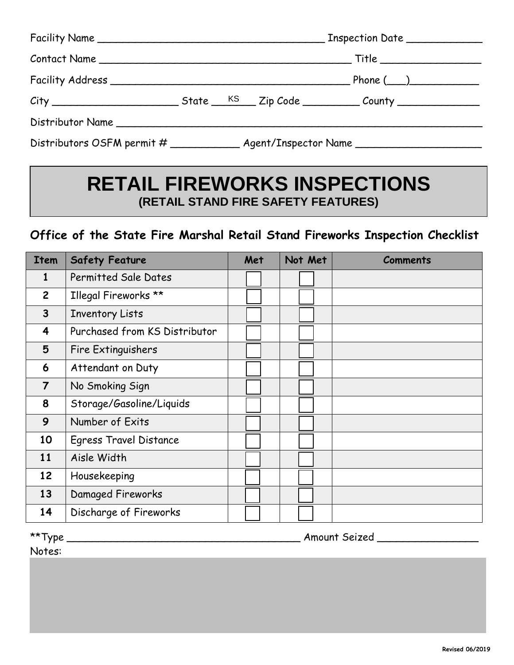| Facility Name |                                                                                  |  |  |  |  |  |
|---------------|----------------------------------------------------------------------------------|--|--|--|--|--|
|               |                                                                                  |  |  |  |  |  |
|               |                                                                                  |  |  |  |  |  |
|               |                                                                                  |  |  |  |  |  |
|               |                                                                                  |  |  |  |  |  |
|               | Distributors OSFM permit # ______________ Agent/Inspector Name _________________ |  |  |  |  |  |

# **RETAIL FIREWORKS INSPECTIONS (RETAIL STAND FIRE SAFETY FEATURES)**

# **Office of the State Fire Marshal Retail Stand Fireworks Inspection Checklist**

| <b>Item</b>    | <b>Safety Feature</b>         | Met | Not Met | <b>Comments</b> |
|----------------|-------------------------------|-----|---------|-----------------|
| 1              | Permitted Sale Dates          |     |         |                 |
| $\mathbf{2}$   | Illegal Fireworks **          |     |         |                 |
| $\overline{3}$ | <b>Inventory Lists</b>        |     |         |                 |
| 4              | Purchased from KS Distributor |     |         |                 |
| 5              | Fire Extinguishers            |     |         |                 |
| 6              | Attendant on Duty             |     |         |                 |
| $\overline{7}$ | No Smoking Sign               |     |         |                 |
| 8              | Storage/Gasoline/Liquids      |     |         |                 |
| 9              | Number of Exits               |     |         |                 |
| 10             | <b>Egress Travel Distance</b> |     |         |                 |
| 11             | Aisle Width                   |     |         |                 |
| 12             | Housekeeping                  |     |         |                 |
| 13             | Damaged Fireworks             |     |         |                 |
| 14             | Discharge of Fireworks        |     |         |                 |

\*\*Type \_\_\_\_\_\_\_\_\_\_\_\_\_\_\_\_\_\_\_\_\_\_\_\_\_\_\_\_\_\_\_\_\_\_\_\_\_ Amount Seized \_\_\_\_\_\_\_\_\_\_\_\_\_\_\_\_

Notes: